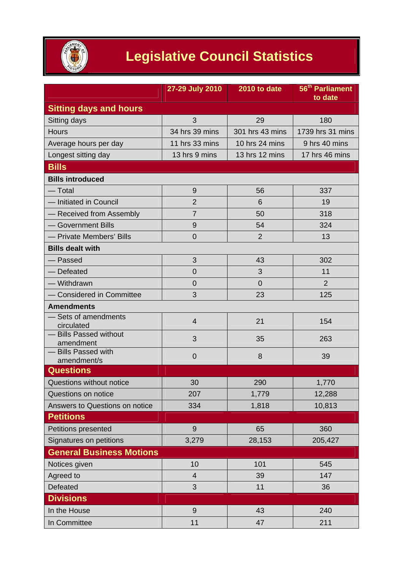

## **Legislative Council Statistics**

|                                     | 27-29 July 2010 | 2010 to date    | 56 <sup>th</sup> Parliament<br>to date |
|-------------------------------------|-----------------|-----------------|----------------------------------------|
| <b>Sitting days and hours</b>       |                 |                 |                                        |
| Sitting days                        | 3               | 29              | 180                                    |
| <b>Hours</b>                        | 34 hrs 39 mins  | 301 hrs 43 mins | 1739 hrs 31 mins                       |
| Average hours per day               | 11 hrs 33 mins  | 10 hrs 24 mins  | 9 hrs 40 mins                          |
| Longest sitting day                 | 13 hrs 9 mins   | 13 hrs 12 mins  | 17 hrs 46 mins                         |
| <b>Bills</b>                        |                 |                 |                                        |
| <b>Bills introduced</b>             |                 |                 |                                        |
| — Total                             | $9$             | 56              | 337                                    |
| - Initiated in Council              | $\overline{2}$  | 6               | 19                                     |
| - Received from Assembly            | $\overline{7}$  | 50              | 318                                    |
| - Government Bills                  | $9$             | 54              | 324                                    |
| - Private Members' Bills            | $\overline{0}$  | $\overline{2}$  | 13                                     |
| <b>Bills dealt with</b>             |                 |                 |                                        |
| — Passed                            | 3               | 43              | 302                                    |
| - Defeated                          | $\overline{0}$  | 3               | 11                                     |
| - Withdrawn                         | $\overline{0}$  | $\overline{0}$  | $\overline{2}$                         |
| - Considered in Committee           | 3               | 23              | 125                                    |
| <b>Amendments</b>                   |                 |                 |                                        |
| - Sets of amendments<br>circulated  | 4               | 21              | 154                                    |
| - Bills Passed without<br>amendment | 3               | 35              | 263                                    |
| - Bills Passed with<br>amendment/s  | $\mathbf 0$     | 8               | 39                                     |
| <b>Questions</b>                    |                 |                 |                                        |
| Questions without notice            | 30              | 290             | 1,770                                  |
| Questions on notice                 | 207             | 1,779           | 12,288                                 |
| Answers to Questions on notice      | 334             | 1,818           | 10,813                                 |
| <b>Petitions</b>                    |                 |                 |                                        |
| Petitions presented                 | 9               | 65              | 360                                    |
| Signatures on petitions             | 3,279           | 28,153          | 205,427                                |
| <b>General Business Motions</b>     |                 |                 |                                        |
| Notices given                       | 10              | 101             | 545                                    |
| Agreed to                           | $\overline{4}$  | 39              | 147                                    |
| Defeated                            | 3               | 11              | 36                                     |
| <b>Divisions</b>                    |                 |                 |                                        |
| In the House                        | 9               | 43              | 240                                    |
| In Committee                        | 11              | 47              | 211                                    |